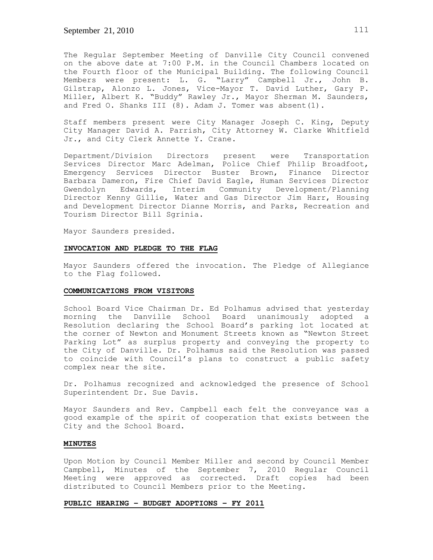The Regular September Meeting of Danville City Council convened on the above date at 7:00 P.M. in the Council Chambers located on the Fourth floor of the Municipal Building. The following Council Members were present: L. G. "Larry" Campbell Jr., John B. Gilstrap, Alonzo L. Jones, Vice-Mayor T. David Luther, Gary P. Miller, Albert K. "Buddy" Rawley Jr., Mayor Sherman M. Saunders, and Fred O. Shanks III (8). Adam J. Tomer was absent (1).

Staff members present were City Manager Joseph C. King, Deputy City Manager David A. Parrish, City Attorney W. Clarke Whitfield Jr., and City Clerk Annette Y. Crane.

Department/Division Directors present were Transportation Services Director Marc Adelman, Police Chief Philip Broadfoot, Emergency Services Director Buster Brown, Finance Director Barbara Dameron, Fire Chief David Eagle, Human Services Director Gwendolyn Edwards, Interim Community Development/Planning Director Kenny Gillie, Water and Gas Director Jim Harr, Housing and Development Director Dianne Morris, and Parks, Recreation and Tourism Director Bill Sgrinia.

Mayor Saunders presided.

# **INVOCATION AND PLEDGE TO THE FLAG**

Mayor Saunders offered the invocation. The Pledge of Allegiance to the Flag followed.

# **COMMUNICATIONS FROM VISITORS**

School Board Vice Chairman Dr. Ed Polhamus advised that yesterday morning the Danville School Board unanimously adopted a Resolution declaring the School Board's parking lot located at the corner of Newton and Monument Streets known as "Newton Street Parking Lot" as surplus property and conveying the property to the City of Danville. Dr. Polhamus said the Resolution was passed to coincide with Council's plans to construct a public safety complex near the site.

Dr. Polhamus recognized and acknowledged the presence of School Superintendent Dr. Sue Davis.

Mayor Saunders and Rev. Campbell each felt the conveyance was a good example of the spirit of cooperation that exists between the City and the School Board.

## **MINUTES**

Upon Motion by Council Member Miller and second by Council Member Campbell, Minutes of the September 7, 2010 Regular Council Meeting were approved as corrected. Draft copies had been distributed to Council Members prior to the Meeting.

## **PUBLIC HEARING – BUDGET ADOPTIONS – FY 2011**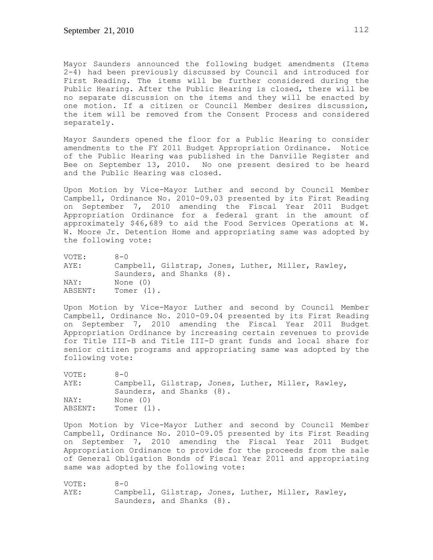Mayor Saunders announced the following budget amendments (Items 2-4) had been previously discussed by Council and introduced for First Reading. The items will be further considered during the Public Hearing. After the Public Hearing is closed, there will be no separate discussion on the items and they will be enacted by one motion. If a citizen or Council Member desires discussion, the item will be removed from the Consent Process and considered separately.

Mayor Saunders opened the floor for a Public Hearing to consider amendments to the FY 2011 Budget Appropriation Ordinance. Notice of the Public Hearing was published in the Danville Register and Bee on September 13, 2010. No one present desired to be heard and the Public Hearing was closed.

Upon Motion by Vice-Mayor Luther and second by Council Member Campbell, Ordinance No. 2010-09.03 presented by its First Reading on September 7, 2010 amending the Fiscal Year 2011 Budget Appropriation Ordinance for a federal grant in the amount of approximately \$46,689 to aid the Food Services Operations at W. W. Moore Jr. Detention Home and appropriating same was adopted by the following vote:

| VOTE:   | $8 - 0$                                            |
|---------|----------------------------------------------------|
| AYE:    | Campbell, Gilstrap, Jones, Luther, Miller, Rawley, |
|         | Saunders, and Shanks (8).                          |
| NAY:    | None (0)                                           |
| ABSENT: | Tomer (1).                                         |

Upon Motion by Vice-Mayor Luther and second by Council Member Campbell, Ordinance No. 2010-09.04 presented by its First Reading on September 7, 2010 amending the Fiscal Year 2011 Budget Appropriation Ordinance by increasing certain revenues to provide for Title III-B and Title III-D grant funds and local share for senior citizen programs and appropriating same was adopted by the following vote:

| VOTE:   | $R - N$                                            |
|---------|----------------------------------------------------|
| AYE:    | Campbell, Gilstrap, Jones, Luther, Miller, Rawley, |
|         | Saunders, and Shanks (8).                          |
| NAY:    | None (0)                                           |
| ABSENT: | Tomer $(1)$ .                                      |

Upon Motion by Vice-Mayor Luther and second by Council Member Campbell, Ordinance No. 2010-09.05 presented by its First Reading on September 7, 2010 amending the Fiscal Year 2011 Budget Appropriation Ordinance to provide for the proceeds from the sale of General Obligation Bonds of Fiscal Year 2011 and appropriating same was adopted by the following vote:

VOTE: 8-0 AYE: Campbell, Gilstrap, Jones, Luther, Miller, Rawley, Saunders, and Shanks (8).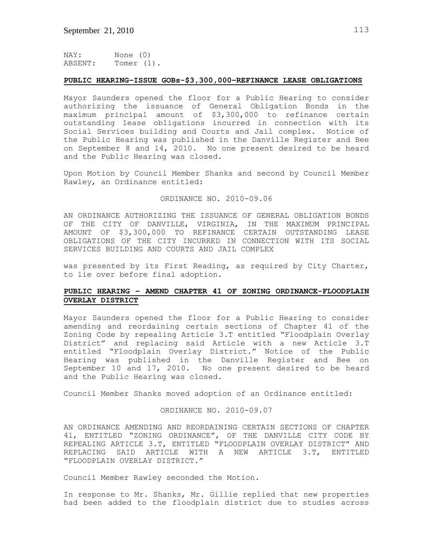NAY: None (0) ABSENT: Tomer (1).

# **PUBLIC HEARING–ISSUE GOBs-\$3,300,000–REFINANCE LEASE OBLIGATIONS**

Mayor Saunders opened the floor for a Public Hearing to consider authorizing the issuance of General Obligation Bonds in the maximum principal amount of \$3,300,000 to refinance certain outstanding lease obligations incurred in connection with its Social Services building and Courts and Jail complex. Notice of the Public Hearing was published in the Danville Register and Bee on September 8 and 14, 2010. No one present desired to be heard and the Public Hearing was closed.

Upon Motion by Council Member Shanks and second by Council Member Rawley, an Ordinance entitled:

# ORDINANCE NO. 2010-09.06

AN ORDINANCE AUTHORIZING THE ISSUANCE OF GENERAL OBLIGATION BONDS OF THE CITY OF DANVILLE, VIRGINIA, IN THE MAXIMUM PRINCIPAL AMOUNT OF \$3,300,000 TO REFINANCE CERTAIN OUTSTANDING LEASE OBLIGATIONS OF THE CITY INCURRED IN CONNECTION WITH ITS SOCIAL SERVICES BUILDING AND COURTS AND JAIL COMPLEX

was presented by its First Reading, as required by City Charter, to lie over before final adoption.

# **PUBLIC HEARING – AMEND CHAPTER 41 OF ZONING ORDINANCE-FLOODPLAIN OVERLAY DISTRICT**

Mayor Saunders opened the floor for a Public Hearing to consider amending and reordaining certain sections of Chapter 41 of the Zoning Code by repealing Article 3.T entitled "Floodplain Overlay District" and replacing said Article with a new Article 3.T entitled "Floodplain Overlay District." Notice of the Public Hearing was published in the Danville Register and Bee on September 10 and 17, 2010. No one present desired to be heard and the Public Hearing was closed.

Council Member Shanks moved adoption of an Ordinance entitled:

### ORDINANCE NO. 2010-09.07

AN ORDINANCE AMENDING AND REORDAINING CERTAIN SECTIONS OF CHAPTER 41, ENTITLED "ZONING ORDINANCE", OF THE DANVILLE CITY CODE BY REPEALING ARTICLE 3.T, ENTITLED "FLOODPLAIN OVERLAY DISTRICT" AND REPLACING SAID ARTICLE WITH A NEW ARTICLE 3.T, ENTITLED "FLOODPLAIN OVERLAY DISTRICT."

Council Member Rawley seconded the Motion.

In response to Mr. Shanks, Mr. Gillie replied that new properties had been added to the floodplain district due to studies across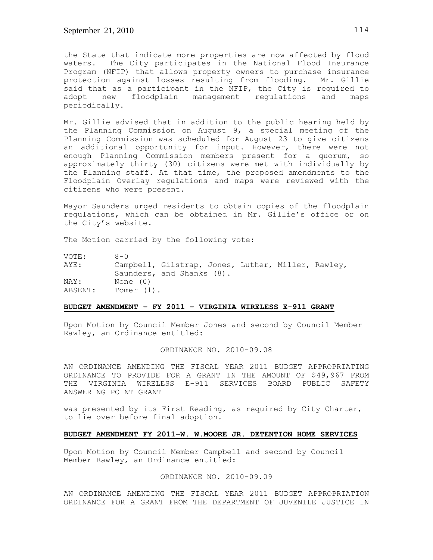the State that indicate more properties are now affected by flood waters. The City participates in the National Flood Insurance Program (NFIP) that allows property owners to purchase insurance protection against losses resulting from flooding. Mr. Gillie said that as a participant in the NFIP, the City is required to adopt new floodplain management regulations and maps periodically.

Mr. Gillie advised that in addition to the public hearing held by the Planning Commission on August 9, a special meeting of the Planning Commission was scheduled for August 23 to give citizens an additional opportunity for input. However, there were not enough Planning Commission members present for a quorum, so approximately thirty (30) citizens were met with individually by the Planning staff. At that time, the proposed amendments to the Floodplain Overlay regulations and maps were reviewed with the citizens who were present.

Mayor Saunders urged residents to obtain copies of the floodplain regulations, which can be obtained in Mr. Gillie's office or on the City's website.

The Motion carried by the following vote:

| VOTE:   | $8 - 0$                                            |
|---------|----------------------------------------------------|
| AYE:    | Campbell, Gilstrap, Jones, Luther, Miller, Rawley, |
|         | Saunders, and Shanks (8).                          |
| NAY:    | None (0)                                           |
| ABSENT: | Tomer (1).                                         |

### **BUDGET AMENDMENT – FY 2011 – VIRGINIA WIRELESS E-911 GRANT**

Upon Motion by Council Member Jones and second by Council Member Rawley, an Ordinance entitled:

# ORDINANCE NO. 2010-09.08

AN ORDINANCE AMENDING THE FISCAL YEAR 2011 BUDGET APPROPRIATING ORDINANCE TO PROVIDE FOR A GRANT IN THE AMOUNT OF \$49,967 FROM THE VIRGINIA WIRELESS E-911 SERVICES BOARD PUBLIC SAFETY ANSWERING POINT GRANT

was presented by its First Reading, as required by City Charter, to lie over before final adoption.

#### **BUDGET AMENDMENT FY 2011–W. W.MOORE JR. DETENTION HOME SERVICES**

Upon Motion by Council Member Campbell and second by Council Member Rawley, an Ordinance entitled:

# ORDINANCE NO. 2010-09.09

AN ORDINANCE AMENDING THE FISCAL YEAR 2011 BUDGET APPROPRIATION ORDINANCE FOR A GRANT FROM THE DEPARTMENT OF JUVENILE JUSTICE IN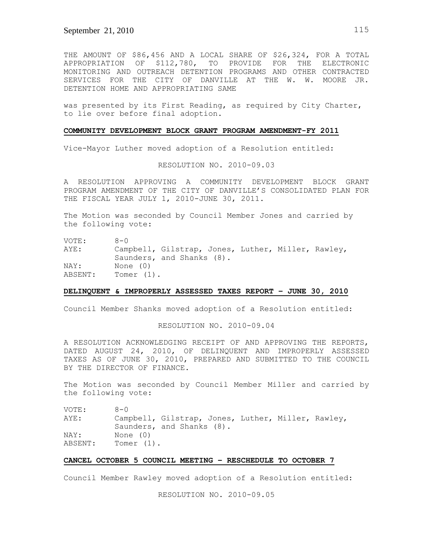THE AMOUNT OF \$86,456 AND A LOCAL SHARE OF \$26,324, FOR A TOTAL APPROPRIATION OF \$112,780, TO PROVIDE FOR THE ELECTRONIC MONITORING AND OUTREACH DETENTION PROGRAMS AND OTHER CONTRACTED SERVICES FOR THE CITY OF DANVILLE AT THE W. W. MOORE JR. DETENTION HOME AND APPROPRIATING SAME

was presented by its First Reading, as required by City Charter, to lie over before final adoption.

#### **COMMUNITY DEVELOPMENT BLOCK GRANT PROGRAM AMENDMENT-FY 2011**

Vice-Mayor Luther moved adoption of a Resolution entitled:

RESOLUTION NO. 2010-09.03

A RESOLUTION APPROVING A COMMUNITY DEVELOPMENT BLOCK GRANT PROGRAM AMENDMENT OF THE CITY OF DANVILLE'S CONSOLIDATED PLAN FOR THE FISCAL YEAR JULY 1, 2010-JUNE 30, 2011.

The Motion was seconded by Council Member Jones and carried by the following vote:

VOTE: 8-0 AYE: Campbell, Gilstrap, Jones, Luther, Miller, Rawley, Saunders, and Shanks (8). NAY: None (0) ABSENT: Tomer (1).

# **DELINQUENT & IMPROPERLY ASSESSED TAXES REPORT – JUNE 30, 2010**

Council Member Shanks moved adoption of a Resolution entitled:

RESOLUTION NO. 2010-09.04

A RESOLUTION ACKNOWLEDGING RECEIPT OF AND APPROVING THE REPORTS, DATED AUGUST 24, 2010, OF DELINQUENT AND IMPROPERLY ASSESSED TAXES AS OF JUNE 30, 2010, PREPARED AND SUBMITTED TO THE COUNCIL BY THE DIRECTOR OF FINANCE.

The Motion was seconded by Council Member Miller and carried by the following vote:

| VOTE:   | $R - N$                                            |  |
|---------|----------------------------------------------------|--|
| AYE:    | Campbell, Gilstrap, Jones, Luther, Miller, Rawley, |  |
|         | Saunders, and Shanks (8).                          |  |
| NAY:    | None (0)                                           |  |
| ABSENT: | Tomer $(1)$ .                                      |  |

## **CANCEL OCTOBER 5 COUNCIL MEETING – RESCHEDULE TO OCTOBER 7**

Council Member Rawley moved adoption of a Resolution entitled:

RESOLUTION NO. 2010-09.05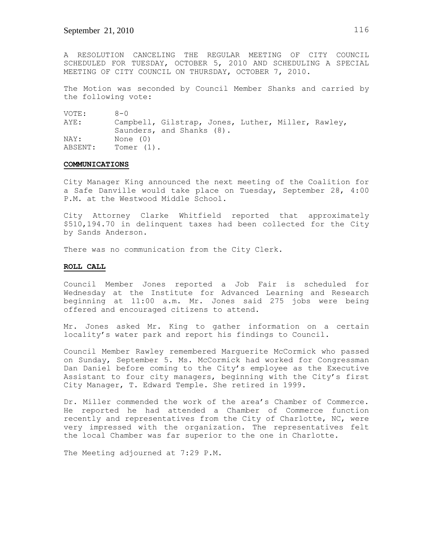A RESOLUTION CANCELING THE REGULAR MEETING OF CITY COUNCIL SCHEDULED FOR TUESDAY, OCTOBER 5, 2010 AND SCHEDULING A SPECIAL MEETING OF CITY COUNCIL ON THURSDAY, OCTOBER 7, 2010.

The Motion was seconded by Council Member Shanks and carried by the following vote:

VOTE: 8-0 AYE: Campbell, Gilstrap, Jones, Luther, Miller, Rawley, Saunders, and Shanks (8). NAY: None (0) ABSENT: Tomer (1).

### **COMMUNICATIONS**

City Manager King announced the next meeting of the Coalition for a Safe Danville would take place on Tuesday, September 28, 4:00 P.M. at the Westwood Middle School.

City Attorney Clarke Whitfield reported that approximately \$510,194.70 in delinquent taxes had been collected for the City by Sands Anderson.

There was no communication from the City Clerk.

## **ROLL CALL**

Council Member Jones reported a Job Fair is scheduled for Wednesday at the Institute for Advanced Learning and Research beginning at 11:00 a.m. Mr. Jones said 275 jobs were being offered and encouraged citizens to attend.

Mr. Jones asked Mr. King to gather information on a certain locality's water park and report his findings to Council.

Council Member Rawley remembered Marguerite McCormick who passed on Sunday, September 5. Ms. McCormick had worked for Congressman Dan Daniel before coming to the City's employee as the Executive Assistant to four city managers, beginning with the City's first City Manager, T. Edward Temple. She retired in 1999.

Dr. Miller commended the work of the area's Chamber of Commerce. He reported he had attended a Chamber of Commerce function recently and representatives from the City of Charlotte, NC, were very impressed with the organization. The representatives felt the local Chamber was far superior to the one in Charlotte.

The Meeting adjourned at 7:29 P.M.